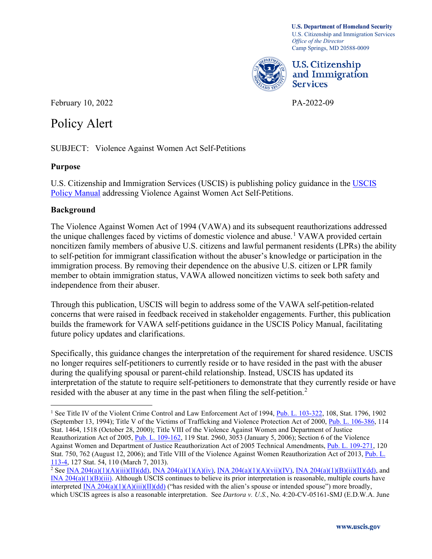Camp Springs, MD 20588-0009 **U.S. Department of Homeland Security**  U.S. Citizenship and Immigration Services *Office of the Director* 



U.S. Citizenship and Immigration Services

February 10, 2022 PA-2022-09

# Policy Alert

Policy Alert<br>SUBJECT: Violence Against Women Act Self-Petitions

## **Purpose**

U.S. Citizenship and Immigration Services (USCIS) is publishing policy guidance in the [USCIS](https://www.uscis.gov/policy-manual)  [Policy Manual](https://www.uscis.gov/policy-manual) addressing Violence Against Women Act Self-Petitions.

## **Background**

 independence from their abuser. The Violence Against Women Act of 1994 (VAWA) and its subsequent reauthorizations addressed the unique challenges faced by victims of domestic violence and abuse.<sup>[1](#page-0-0)</sup> VAWA provided certain noncitizen family members of abusive U.S. citizens and lawful permanent residents (LPRs) the ability to self-petition for immigrant classification without the abuser's knowledge or participation in the immigration process. By removing their dependence on the abusive U.S. citizen or LPR family member to obtain immigration status, VAWA allowed noncitizen victims to seek both safety and

Through this publication, USCIS will begin to address some of the VAWA self-petition-related concerns that were raised in feedback received in stakeholder engagements. Further, this publication builds the framework for VAWA self-petitions guidance in the USCIS Policy Manual, facilitating future policy updates and clarifications.

resided with the abuser at any time in the past when filing the self-petition.<sup>2</sup> Specifically, this guidance changes the interpretation of the requirement for shared residence. USCIS no longer requires self-petitioners to currently reside or to have resided in the past with the abuser during the qualifying spousal or parent-child relationship. Instead, USCIS has updated its interpretation of the statute to require self-petitioners to demonstrate that they currently reside or have

<span id="page-0-0"></span>Reauthorization Act of 2005, *Pub. L. 109-162*, 119 Stat. 2960, 3053 (January 5, 2006); Section 6 of the Violence 113-4, 127 Stat. 54, 110 (March 7, 2013). <sup>1</sup> See Title IV of the Violent Crime Control and Law Enforcement Act of 1994, [Pub. L. 103-322,](https://www.govinfo.gov/content/pkg/STATUTE-108/pdf/STATUTE-108-Pg1796.pdf) 108, Stat. 1796, 1902 (September 13, 1994); Title V of the Victims of Trafficking and Violence Protection Act of 2000, [Pub. L. 106-386,](https://www.govinfo.gov/content/pkg/PLAW-106publ386/pdf/PLAW-106publ386.pdf) 114 Stat. 1464, 1518 (October 28, 2000); Title VIII of the Violence Against Women and Department of Justice Against Women and Department of Justice Reauthorization Act of 2005 Technical Amendments, [Pub. L. 109-271,](https://www.govinfo.gov/content/pkg/PLAW-109publ271/pdf/PLAW-109publ271.pdf) 120 Stat. 750, 762 (August 12, 2006); and Title VIII of the Violence Against Women Reauthorization Act of 2013, Pub. L.

<span id="page-0-1"></span> which USCIS agrees is also a reasonable interpretation. See *Dartora v. U.S.*, No. 4:20-CV-05161-SMJ (E.D.W.A. June <sup>2</sup> See <u>INA 204(a)(1)(A)(iii)(II)(dd)</u>, <u>INA 204(a)(1)(A)(iv), INA 204(a)(1)(A)(vii)(IV)</u>, <u>INA 204(a)(1)(B)(ii)(II)(dd)</u>, and [INA 204\(a\)\(1\)\(B\)\(iii\).](https://uscode.house.gov/view.xhtml?req=granuleid:USC-prelim-title8-section1154&num=0&edition=prelim) Although USCIS continues to believe its prior interpretation is reasonable, multiple courts have interpreted [INA 204\(a\)\(1\)\(A\)\(iii\)\(II\)\(dd\)](https://uscode.house.gov/view.xhtml?req=granuleid:USC-prelim-title8-section1154&num=0&edition=prelim) ("has resided with the alien's spouse or intended spouse") more broadly,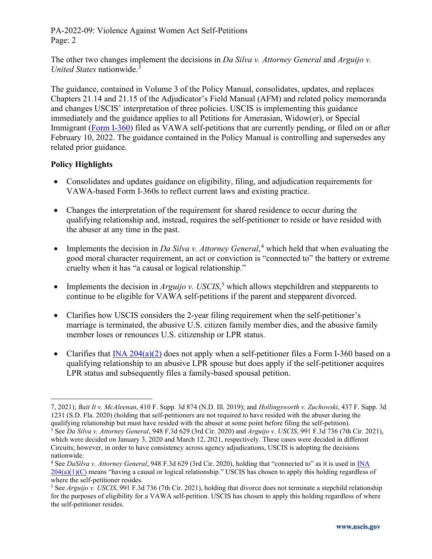PA-2022-09: Violence Against Women Act Self-Petitions Page: 2

The other two changes implement the decisions in *Da Silva v. Attorney General* and *Arguijo v. United States* nationwide.[3](#page-1-0)

The guidance, contained in Volume 3 of the Policy Manual, consolidates, updates, and replaces Chapters 21.14 and 21.15 of the Adjudicator's Field Manual (AFM) and related policy memoranda and changes USCIS' interpretation of three policies. USCIS is implementing this guidance immediately and the guidance applies to all Petitions for Amerasian, Widow(er), or Special Immigrant [\(Form I-360\)](https://www.uscis.gov/i-360) filed as VAWA self-petitions that are currently pending, or filed on or after February 10, 2022. The guidance contained in the Policy Manual is controlling and supersedes any related prior guidance.

#### **Policy Highlights**

- Consolidates and updates guidance on eligibility, filing, and adjudication requirements for VAWA-based Form I-360s to reflect current laws and existing practice.
- • Changes the interpretation of the requirement for shared residence to occur during the qualifying relationship and, instead, requires the self-petitioner to reside or have resided with the abuser at any time in the past.
- Implements the decision in *Da Silva v. Attorney General*,<sup>[4](#page-1-1)</sup> which held that when evaluating the good moral character requirement, an act or conviction is "connected to" the battery or extreme cruelty when it has "a causal or logical relationship."
- Implements the decision in *Arguijo v. USCIS*,<sup>[5](#page-1-2)</sup> which allows stepchildren and stepparents to continue to be eligible for VAWA self-petitions if the parent and stepparent divorced.
- Clarifies how USCIS considers the 2-year filing requirement when the self-petitioner's marriage is terminated, the abusive U.S. citizen family member dies, and the abusive family member loses or renounces U.S. citizenship or LPR status.
- Clarifies that  $\overline{INA\ 204(a)(2)}$  does not apply when a self-petitioner files a Form I-360 based on a qualifying relationship to an abusive LPR spouse but does apply if the self-petitioner acquires LPR status and subsequently files a family-based spousal petition.

 1231 (S.D. Fla. 2020) (holding that self-petitioners are not required to have resided with the abuser during the qualifying relationship but must have resided with the abuser at some point before filing the self-petition). 7, 2021); *Bait It v. McAleenan*, 410 F. Supp. 3d 874 (N.D. Ill. 2019); and *Hollingsworth v. Zuchowski*, 437 F. Supp. 3d

<span id="page-1-0"></span><sup>&</sup>lt;sup>3</sup> See Da Silva v. Attorney General, 948 F.3d 629 (3rd Cir. 2020) and Arguijo v. USCIS, 991 F.3d 736 (7th Cir. 2021), which were decided on January 3, 2020 and March 12, 2021, respectively. These cases were decided in different Circuits; however, in order to have consistency across agency adjudications, USCIS is adopting the decisions nationwide.

<span id="page-1-1"></span><sup>&</sup>lt;sup>4</sup> See *DaSilva v. Attorney General*, 948 F.3d 629 (3rd Cir. 2020), holding that "connected to" as it is used in **INA** where the self-petitioner resides. [204\(a\)\(1\)\(C\)](https://uscode.house.gov/view.xhtml?req=granuleid:USC-prelim-title8-section1154&num=0&edition=prelim) means "having a causal or logical relationship." USCIS has chosen to apply this holding regardless of

<span id="page-1-2"></span> the self-petitioner resides. <sup>5</sup> See *Arguijo v. USCIS*, 991 F.3d 736 (7th Cir. 2021), holding that divorce does not terminate a stepchild relationship for the purposes of eligibility for a VAWA self-petition. USCIS has chosen to apply this holding regardless of where